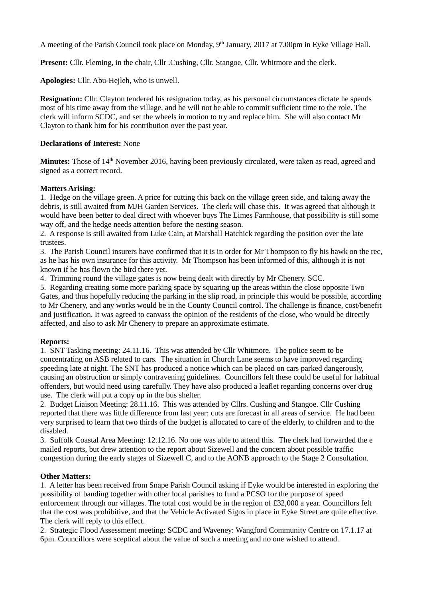A meeting of the Parish Council took place on Monday, 9<sup>th</sup> January, 2017 at 7.00pm in Eyke Village Hall.

Present: Cllr. Fleming, in the chair, Cllr. Cushing, Cllr. Stangoe, Cllr. Whitmore and the clerk.

**Apologies:** Cllr. Abu-Hejleh, who is unwell.

**Resignation:** Cllr. Clayton tendered his resignation today, as his personal circumstances dictate he spends most of his time away from the village, and he will not be able to commit sufficient time to the role. The clerk will inform SCDC, and set the wheels in motion to try and replace him. She will also contact Mr Clayton to thank him for his contribution over the past year.

### **Declarations of Interest:** None

**Minutes:** Those of 14<sup>th</sup> November 2016, having been previously circulated, were taken as read, agreed and signed as a correct record.

#### **Matters Arising:**

1. Hedge on the village green. A price for cutting this back on the village green side, and taking away the debris, is still awaited from MJH Garden Services. The clerk will chase this. It was agreed that although it would have been better to deal direct with whoever buys The Limes Farmhouse, that possibility is still some way off, and the hedge needs attention before the nesting season.

2. A response is still awaited from Luke Cain, at Marshall Hatchick regarding the position over the late trustees.

3. The Parish Council insurers have confirmed that it is in order for Mr Thompson to fly his hawk on the rec, as he has his own insurance for this activity. Mr Thompson has been informed of this, although it is not known if he has flown the bird there yet.

4. Trimming round the village gates is now being dealt with directly by Mr Chenery. SCC.

5. Regarding creating some more parking space by squaring up the areas within the close opposite Two Gates, and thus hopefully reducing the parking in the slip road, in principle this would be possible, according to Mr Chenery, and any works would be in the County Council control. The challenge is finance, cost/benefit and justification. It was agreed to canvass the opinion of the residents of the close, who would be directly affected, and also to ask Mr Chenery to prepare an approximate estimate.

### **Reports:**

1. SNT Tasking meeting: 24.11.16. This was attended by Cllr Whitmore. The police seem to be concentrating on ASB related to cars. The situation in Church Lane seems to have improved regarding speeding late at night. The SNT has produced a notice which can be placed on cars parked dangerously, causing an obstruction or simply contravening guidelines. Councillors felt these could be useful for habitual offenders, but would need using carefully. They have also produced a leaflet regarding concerns over drug use. The clerk will put a copy up in the bus shelter.

2. Budget Liaison Meeting: 28.11.16. This was attended by Cllrs. Cushing and Stangoe. Cllr Cushing reported that there was little difference from last year: cuts are forecast in all areas of service. He had been very surprised to learn that two thirds of the budget is allocated to care of the elderly, to children and to the disabled.

3. Suffolk Coastal Area Meeting: 12.12.16. No one was able to attend this. The clerk had forwarded the e mailed reports, but drew attention to the report about Sizewell and the concern about possible traffic congestion during the early stages of Sizewell C, and to the AONB approach to the Stage 2 Consultation.

#### **Other Matters:**

1. A letter has been received from Snape Parish Council asking if Eyke would be interested in exploring the possibility of banding together with other local parishes to fund a PCSO for the purpose of speed enforcement through our villages. The total cost would be in the region of £32,000 a year. Councillors felt that the cost was prohibitive, and that the Vehicle Activated Signs in place in Eyke Street are quite effective. The clerk will reply to this effect.

2. Strategic Flood Assessment meeting: SCDC and Waveney: Wangford Community Centre on 17.1.17 at 6pm. Councillors were sceptical about the value of such a meeting and no one wished to attend.